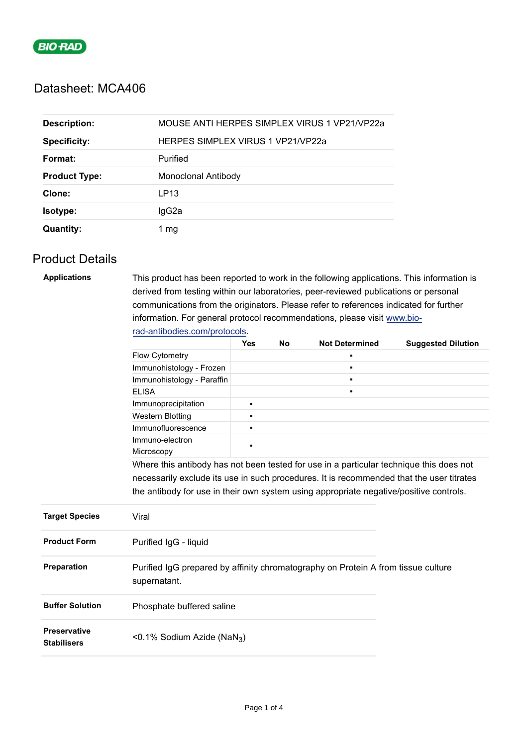

# Datasheet: MCA406

| <b>Description:</b>  | MOUSE ANTI HERPES SIMPLEX VIRUS 1 VP21/VP22a |  |  |
|----------------------|----------------------------------------------|--|--|
| <b>Specificity:</b>  | <b>HERPES SIMPLEX VIRUS 1 VP21/VP22a</b>     |  |  |
| Format:              | Purified                                     |  |  |
| <b>Product Type:</b> | Monoclonal Antibody                          |  |  |
| Clone:               | LP <sub>13</sub>                             |  |  |
| Isotype:             | IgG2a                                        |  |  |
| <b>Quantity:</b>     | 1 mq                                         |  |  |

### Product Details

| <b>Applications</b>                       | This product has been reported to work in the following applications. This information is<br>derived from testing within our laboratories, peer-reviewed publications or personal<br>communications from the originators. Please refer to references indicated for further<br>information. For general protocol recommendations, please visit www.bio- |                |  |                |  |  |
|-------------------------------------------|--------------------------------------------------------------------------------------------------------------------------------------------------------------------------------------------------------------------------------------------------------------------------------------------------------------------------------------------------------|----------------|--|----------------|--|--|
|                                           |                                                                                                                                                                                                                                                                                                                                                        |                |  |                |  |  |
|                                           | rad-antibodies.com/protocols.<br><b>Yes</b><br><b>No</b><br><b>Not Determined</b><br><b>Suggested Dilution</b>                                                                                                                                                                                                                                         |                |  |                |  |  |
|                                           | Flow Cytometry                                                                                                                                                                                                                                                                                                                                         |                |  |                |  |  |
|                                           | Immunohistology - Frozen                                                                                                                                                                                                                                                                                                                               |                |  |                |  |  |
|                                           | Immunohistology - Paraffin                                                                                                                                                                                                                                                                                                                             |                |  | $\blacksquare$ |  |  |
|                                           | <b>ELISA</b>                                                                                                                                                                                                                                                                                                                                           |                |  | n.             |  |  |
|                                           | Immunoprecipitation                                                                                                                                                                                                                                                                                                                                    | ٠              |  |                |  |  |
|                                           | <b>Western Blotting</b>                                                                                                                                                                                                                                                                                                                                | $\blacksquare$ |  |                |  |  |
|                                           | Immunofluorescence                                                                                                                                                                                                                                                                                                                                     | n.             |  |                |  |  |
|                                           | Immuno-electron                                                                                                                                                                                                                                                                                                                                        |                |  |                |  |  |
|                                           | Microscopy                                                                                                                                                                                                                                                                                                                                             |                |  |                |  |  |
|                                           | Where this antibody has not been tested for use in a particular technique this does not                                                                                                                                                                                                                                                                |                |  |                |  |  |
|                                           | necessarily exclude its use in such procedures. It is recommended that the user titrates                                                                                                                                                                                                                                                               |                |  |                |  |  |
|                                           | the antibody for use in their own system using appropriate negative/positive controls.                                                                                                                                                                                                                                                                 |                |  |                |  |  |
| <b>Target Species</b>                     | Viral                                                                                                                                                                                                                                                                                                                                                  |                |  |                |  |  |
| <b>Product Form</b>                       | Purified IgG - liquid                                                                                                                                                                                                                                                                                                                                  |                |  |                |  |  |
| Preparation                               | Purified IgG prepared by affinity chromatography on Protein A from tissue culture<br>supernatant.                                                                                                                                                                                                                                                      |                |  |                |  |  |
| <b>Buffer Solution</b>                    | Phosphate buffered saline                                                                                                                                                                                                                                                                                                                              |                |  |                |  |  |
| <b>Preservative</b><br><b>Stabilisers</b> | <0.1% Sodium Azide (NaN <sub>3</sub> )                                                                                                                                                                                                                                                                                                                 |                |  |                |  |  |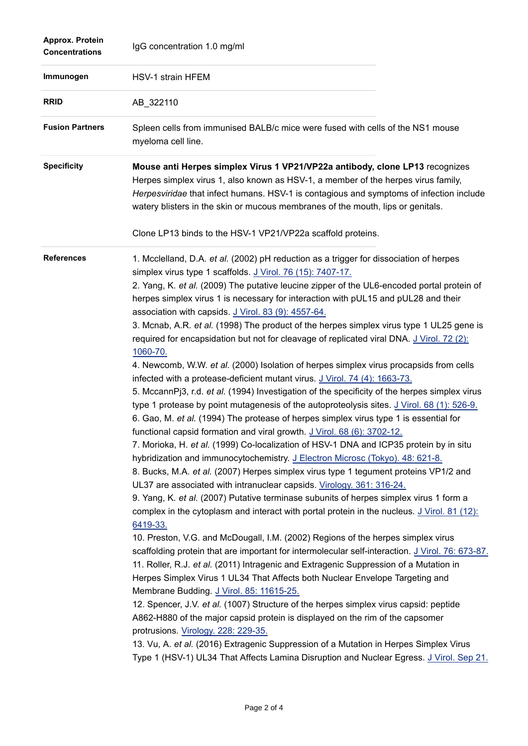| Approx. Protein<br><b>Concentrations</b> | IgG concentration 1.0 mg/ml                                                                                                                                                                                                                                                                                                                                                                                                                                                                                                                                                                                                                                                                                                                                                                                                                                                                                                                                                                                                                                                                                                                                                                                                                                                                                                                                                                                                                                                                                                                                                                                                                                                                                                                                                                                                                                                                                                                                                                                                                                                                                                                                                                                                                                                                                                                                                                                                                                                                                        |
|------------------------------------------|--------------------------------------------------------------------------------------------------------------------------------------------------------------------------------------------------------------------------------------------------------------------------------------------------------------------------------------------------------------------------------------------------------------------------------------------------------------------------------------------------------------------------------------------------------------------------------------------------------------------------------------------------------------------------------------------------------------------------------------------------------------------------------------------------------------------------------------------------------------------------------------------------------------------------------------------------------------------------------------------------------------------------------------------------------------------------------------------------------------------------------------------------------------------------------------------------------------------------------------------------------------------------------------------------------------------------------------------------------------------------------------------------------------------------------------------------------------------------------------------------------------------------------------------------------------------------------------------------------------------------------------------------------------------------------------------------------------------------------------------------------------------------------------------------------------------------------------------------------------------------------------------------------------------------------------------------------------------------------------------------------------------------------------------------------------------------------------------------------------------------------------------------------------------------------------------------------------------------------------------------------------------------------------------------------------------------------------------------------------------------------------------------------------------------------------------------------------------------------------------------------------------|
| Immunogen                                | HSV-1 strain HFEM                                                                                                                                                                                                                                                                                                                                                                                                                                                                                                                                                                                                                                                                                                                                                                                                                                                                                                                                                                                                                                                                                                                                                                                                                                                                                                                                                                                                                                                                                                                                                                                                                                                                                                                                                                                                                                                                                                                                                                                                                                                                                                                                                                                                                                                                                                                                                                                                                                                                                                  |
| <b>RRID</b>                              | AB_322110                                                                                                                                                                                                                                                                                                                                                                                                                                                                                                                                                                                                                                                                                                                                                                                                                                                                                                                                                                                                                                                                                                                                                                                                                                                                                                                                                                                                                                                                                                                                                                                                                                                                                                                                                                                                                                                                                                                                                                                                                                                                                                                                                                                                                                                                                                                                                                                                                                                                                                          |
| <b>Fusion Partners</b>                   | Spleen cells from immunised BALB/c mice were fused with cells of the NS1 mouse<br>myeloma cell line.                                                                                                                                                                                                                                                                                                                                                                                                                                                                                                                                                                                                                                                                                                                                                                                                                                                                                                                                                                                                                                                                                                                                                                                                                                                                                                                                                                                                                                                                                                                                                                                                                                                                                                                                                                                                                                                                                                                                                                                                                                                                                                                                                                                                                                                                                                                                                                                                               |
| <b>Specificity</b>                       | Mouse anti Herpes simplex Virus 1 VP21/VP22a antibody, clone LP13 recognizes<br>Herpes simplex virus 1, also known as HSV-1, a member of the herpes virus family,<br>Herpesviridae that infect humans. HSV-1 is contagious and symptoms of infection include<br>watery blisters in the skin or mucous membranes of the mouth, lips or genitals.<br>Clone LP13 binds to the HSV-1 VP21/VP22a scaffold proteins.                                                                                                                                                                                                                                                                                                                                                                                                                                                                                                                                                                                                                                                                                                                                                                                                                                                                                                                                                                                                                                                                                                                                                                                                                                                                                                                                                                                                                                                                                                                                                                                                                                                                                                                                                                                                                                                                                                                                                                                                                                                                                                     |
| <b>References</b>                        | 1. Mcclelland, D.A. et al. (2002) pH reduction as a trigger for dissociation of herpes<br>simplex virus type 1 scaffolds. J Virol. 76 (15): 7407-17.<br>2. Yang, K. et al. (2009) The putative leucine zipper of the UL6-encoded portal protein of<br>herpes simplex virus 1 is necessary for interaction with pUL15 and pUL28 and their<br>association with capsids. J Virol. 83 (9): 4557-64.<br>3. Mcnab, A.R. et al. (1998) The product of the herpes simplex virus type 1 UL25 gene is<br>required for encapsidation but not for cleavage of replicated viral DNA. J Virol. 72 (2):<br>1060-70.<br>4. Newcomb, W.W. et al. (2000) Isolation of herpes simplex virus procapsids from cells<br>infected with a protease-deficient mutant virus. J Virol. 74 (4): 1663-73.<br>5. MccannPj3, r.d. et al. (1994) Investigation of the specificity of the herpes simplex virus<br>type 1 protease by point mutagenesis of the autoproteolysis sites. J Virol. 68 (1): 526-9.<br>6. Gao, M. et al. (1994) The protease of herpes simplex virus type 1 is essential for<br>functional capsid formation and viral growth. J Virol. 68 (6): 3702-12.<br>7. Morioka, H. et al. (1999) Co-localization of HSV-1 DNA and ICP35 protein by in situ<br>hybridization and immunocytochemistry. J Electron Microsc (Tokyo). 48: 621-8.<br>8. Bucks, M.A. et al. (2007) Herpes simplex virus type 1 tegument proteins VP1/2 and<br>UL37 are associated with intranuclear capsids. Virology. 361: 316-24.<br>9. Yang, K. et al. (2007) Putative terminase subunits of herpes simplex virus 1 form a<br>complex in the cytoplasm and interact with portal protein in the nucleus. J Virol. 81 (12):<br>6419-33.<br>10. Preston, V.G. and McDougall, I.M. (2002) Regions of the herpes simplex virus<br>scaffolding protein that are important for intermolecular self-interaction. J Virol. 76: 673-87.<br>11. Roller, R.J. et al. (2011) Intragenic and Extragenic Suppression of a Mutation in<br>Herpes Simplex Virus 1 UL34 That Affects both Nuclear Envelope Targeting and<br>Membrane Budding. J Virol. 85: 11615-25.<br>12. Spencer, J.V. et al. (1007) Structure of the herpes simplex virus capsid: peptide<br>A862-H880 of the major capsid protein is displayed on the rim of the capsomer<br>protrusions. Virology. 228: 229-35.<br>13. Vu, A. et al. (2016) Extragenic Suppression of a Mutation in Herpes Simplex Virus<br>Type 1 (HSV-1) UL34 That Affects Lamina Disruption and Nuclear Egress. J Virol. Sep 21. |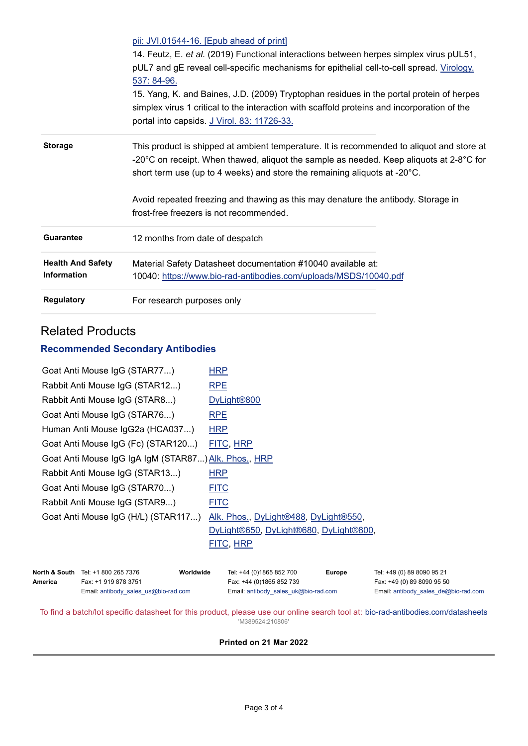|                          | pii: JVI.01544-16. [Epub ahead of print]                                                                      |  |  |  |
|--------------------------|---------------------------------------------------------------------------------------------------------------|--|--|--|
|                          | 14. Feutz, E. et al. (2019) Functional interactions between herpes simplex virus pUL51,                       |  |  |  |
|                          | pUL7 and gE reveal cell-specific mechanisms for epithelial cell-to-cell spread. Virology.                     |  |  |  |
|                          | 537: 84-96.                                                                                                   |  |  |  |
|                          | 15. Yang, K. and Baines, J.D. (2009) Tryptophan residues in the portal protein of herpes                      |  |  |  |
|                          | simplex virus 1 critical to the interaction with scaffold proteins and incorporation of the                   |  |  |  |
|                          | portal into capsids. J Virol. 83: 11726-33.                                                                   |  |  |  |
| <b>Storage</b>           | This product is shipped at ambient temperature. It is recommended to aliquot and store at                     |  |  |  |
|                          | -20 $^{\circ}$ C on receipt. When thawed, aliquot the sample as needed. Keep aliquots at 2-8 $^{\circ}$ C for |  |  |  |
|                          | short term use (up to 4 weeks) and store the remaining aliquots at -20°C.                                     |  |  |  |
|                          | Avoid repeated freezing and thawing as this may denature the antibody. Storage in                             |  |  |  |
|                          | frost-free freezers is not recommended.                                                                       |  |  |  |
| Guarantee                | 12 months from date of despatch                                                                               |  |  |  |
|                          |                                                                                                               |  |  |  |
| <b>Health And Safety</b> | Material Safety Datasheet documentation #10040 available at:                                                  |  |  |  |
| <b>Information</b>       | 10040: https://www.bio-rad-antibodies.com/uploads/MSDS/10040.pdf                                              |  |  |  |
| <b>Regulatory</b>        | For research purposes only                                                                                    |  |  |  |
|                          |                                                                                                               |  |  |  |

# Related Products

#### **Recommended Secondary Antibodies**

| Goat Anti Mouse IgG (STAR77)                         | <b>HRP</b>                             |  |  |
|------------------------------------------------------|----------------------------------------|--|--|
| Rabbit Anti Mouse IgG (STAR12)                       | <b>RPE</b>                             |  |  |
| Rabbit Anti Mouse IgG (STAR8)                        | DyLight <sup>®800</sup>                |  |  |
| Goat Anti Mouse IgG (STAR76)                         | <b>RPE</b>                             |  |  |
| Human Anti Mouse IgG2a (HCA037)                      | <b>HRP</b>                             |  |  |
| Goat Anti Mouse IgG (Fc) (STAR120)                   | FITC, HRP                              |  |  |
| Goat Anti Mouse IgG IgA IgM (STAR87) Alk. Phos., HRP |                                        |  |  |
| Rabbit Anti Mouse IgG (STAR13)                       | <b>HRP</b>                             |  |  |
| Goat Anti Mouse IgG (STAR70)                         | <b>FITC</b>                            |  |  |
| Rabbit Anti Mouse IgG (STAR9)                        | <b>FITC</b>                            |  |  |
| Goat Anti Mouse IgG (H/L) (STAR117)                  | Alk. Phos., DyLight®488, DyLight®550,  |  |  |
|                                                      | DyLight®650, DyLight®680, DyLight®800, |  |  |
|                                                      | FITC, HRP                              |  |  |
|                                                      |                                        |  |  |

|         | <b>North &amp; South</b> Tel: +1 800 265 7376 | Worldwide | Tel: +44 (0)1865 852 700             | <b>Europe</b> | Tel: +49 (0) 89 8090 95 21           |
|---------|-----------------------------------------------|-----------|--------------------------------------|---------------|--------------------------------------|
| America | Fax: +1 919 878 3751                          |           | Fax: +44 (0)1865 852 739             |               | Fax: +49 (0) 89 8090 95 50           |
|         | Email: antibody sales $us@bio-rad.com$        |           | Email: antibody_sales_uk@bio-rad.com |               | Email: antibody_sales_de@bio-rad.com |

To find a batch/lot specific datasheet for this product, please use our online search tool at: [bio-rad-antibodies.com/datasheets](https://bio-rad-antibodies.com/datasheets) 'M389524:210806'

#### **Printed on 21 Mar 2022**